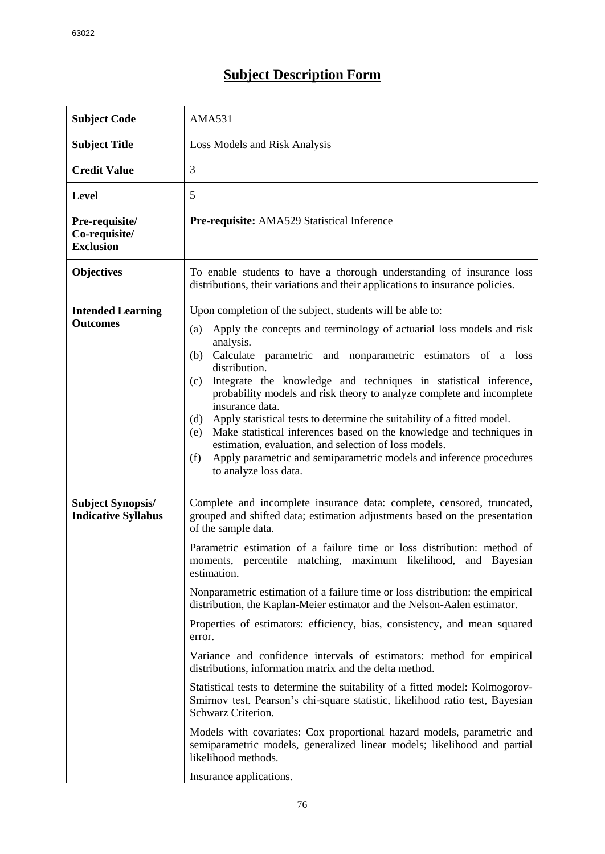## **Subject Description Form**

| <b>Subject Code</b>                                    | <b>AMA531</b>                                                                                                                                                                                                                                                                                                                                                                                                                                                                                                                                                                                                                                                                                                                                                                                                                                                                                                                                                                                      |
|--------------------------------------------------------|----------------------------------------------------------------------------------------------------------------------------------------------------------------------------------------------------------------------------------------------------------------------------------------------------------------------------------------------------------------------------------------------------------------------------------------------------------------------------------------------------------------------------------------------------------------------------------------------------------------------------------------------------------------------------------------------------------------------------------------------------------------------------------------------------------------------------------------------------------------------------------------------------------------------------------------------------------------------------------------------------|
| <b>Subject Title</b>                                   | Loss Models and Risk Analysis                                                                                                                                                                                                                                                                                                                                                                                                                                                                                                                                                                                                                                                                                                                                                                                                                                                                                                                                                                      |
| <b>Credit Value</b>                                    | 3                                                                                                                                                                                                                                                                                                                                                                                                                                                                                                                                                                                                                                                                                                                                                                                                                                                                                                                                                                                                  |
| Level                                                  | 5                                                                                                                                                                                                                                                                                                                                                                                                                                                                                                                                                                                                                                                                                                                                                                                                                                                                                                                                                                                                  |
| Pre-requisite/<br>Co-requisite/<br><b>Exclusion</b>    | Pre-requisite: AMA529 Statistical Inference                                                                                                                                                                                                                                                                                                                                                                                                                                                                                                                                                                                                                                                                                                                                                                                                                                                                                                                                                        |
| <b>Objectives</b>                                      | To enable students to have a thorough understanding of insurance loss<br>distributions, their variations and their applications to insurance policies.                                                                                                                                                                                                                                                                                                                                                                                                                                                                                                                                                                                                                                                                                                                                                                                                                                             |
| <b>Intended Learning</b><br><b>Outcomes</b>            | Upon completion of the subject, students will be able to:                                                                                                                                                                                                                                                                                                                                                                                                                                                                                                                                                                                                                                                                                                                                                                                                                                                                                                                                          |
|                                                        | Apply the concepts and terminology of actuarial loss models and risk<br>(a)<br>analysis.<br>Calculate parametric and nonparametric estimators of a loss<br>(b)<br>distribution.<br>Integrate the knowledge and techniques in statistical inference,<br>(c)<br>probability models and risk theory to analyze complete and incomplete<br>insurance data.<br>Apply statistical tests to determine the suitability of a fitted model.<br>(d)<br>Make statistical inferences based on the knowledge and techniques in<br>(e)<br>estimation, evaluation, and selection of loss models.<br>Apply parametric and semiparametric models and inference procedures<br>(f)<br>to analyze loss data.                                                                                                                                                                                                                                                                                                            |
| <b>Subject Synopsis/</b><br><b>Indicative Syllabus</b> | Complete and incomplete insurance data: complete, censored, truncated,<br>grouped and shifted data; estimation adjustments based on the presentation<br>of the sample data.<br>Parametric estimation of a failure time or loss distribution: method of<br>moments, percentile matching, maximum likelihood, and Bayesian<br>estimation.<br>Nonparametric estimation of a failure time or loss distribution: the empirical<br>distribution, the Kaplan-Meier estimator and the Nelson-Aalen estimator.<br>Properties of estimators: efficiency, bias, consistency, and mean squared<br>error.<br>Variance and confidence intervals of estimators: method for empirical<br>distributions, information matrix and the delta method.<br>Statistical tests to determine the suitability of a fitted model: Kolmogorov-<br>Smirnov test, Pearson's chi-square statistic, likelihood ratio test, Bayesian<br>Schwarz Criterion.<br>Models with covariates: Cox proportional hazard models, parametric and |
|                                                        | semiparametric models, generalized linear models; likelihood and partial<br>likelihood methods.<br>Insurance applications.                                                                                                                                                                                                                                                                                                                                                                                                                                                                                                                                                                                                                                                                                                                                                                                                                                                                         |